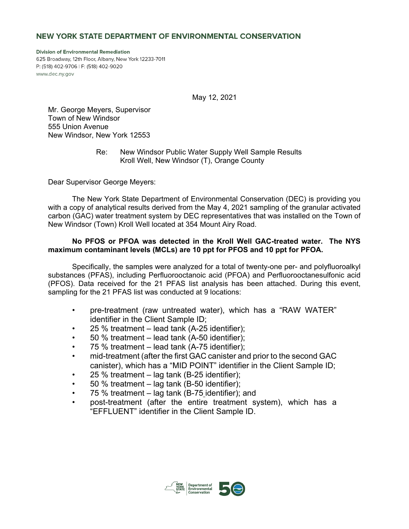# NEW YORK STATE DEPARTMENT OF ENVIRONMENTAL CONSERVATION

**Division of Environmental Remediation** 625 Broadway, 12th Floor, Albany, New York 12233-7011 P: (518) 402-9706 | F: (518) 402-9020 www.dec.ny.gov

May 12, 2021

Mr. George Meyers, Supervisor Town of New Windsor 555 Union Avenue New Windsor, New York 12553

> Re: New Windsor Public Water Supply Well Sample Results Kroll Well, New Windsor (T), Orange County

Dear Supervisor George Meyers:

The New York State Department of Environmental Conservation (DEC) is providing you with a copy of analytical results derived from the May 4, 2021 sampling of the granular activated carbon (GAC) water treatment system by DEC representatives that was installed on the Town of New Windsor (Town) Kroll Well located at 354 Mount Airy Road.

## **No PFOS or PFOA was detected in the Kroll Well GAC-treated water. The NYS maximum contaminant levels (MCLs) are 10 ppt for PFOS and 10 ppt for PFOA.**

Specifically, the samples were analyzed for a total of twenty-one per- and polyfluoroalkyl substances (PFAS), including Perfluorooctanoic acid (PFOA) and Perfluorooctanesulfonic acid (PFOS). Data received for the 21 PFAS list analysis has been attached. During this event, sampling for the 21 PFAS list was conducted at 9 locations:

- pre-treatment (raw untreated water), which has a "RAW WATER" identifier in the Client Sample ID;
- 25 % treatment  $-$  lead tank (A-25 identifier);
- 50 % treatment lead tank (A-50 identifier);
- 75 % treatment lead tank (A-75 identifier);
- mid-treatment (after the first GAC canister and prior to the second GAC canister), which has a "MID POINT" identifier in the Client Sample ID;
- 25 % treatment  $-$  lag tank (B-25 identifier);
- 50 % treatment lag tank (B-50 identifier);
- 75 % treatment lag tank (B-75 identifier); and
- post-treatment (after the entire treatment system), which has a "EFFLUENT" identifier in the Client Sample ID.

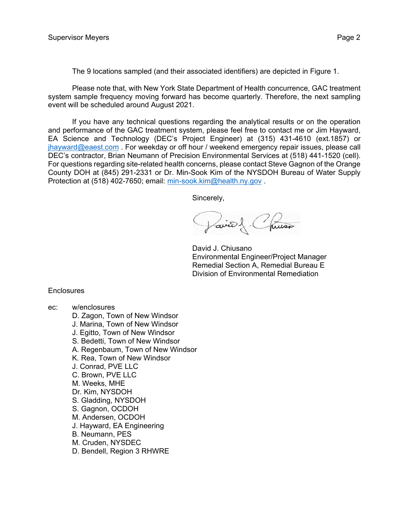The 9 locations sampled (and their associated identifiers) are depicted in Figure 1.

Please note that, with New York State Department of Health concurrence, GAC treatment system sample frequency moving forward has become quarterly. Therefore, the next sampling event will be scheduled around August 2021.

If you have any technical questions regarding the analytical results or on the operation and performance of the GAC treatment system, please feel free to contact me or Jim Hayward, EA Science and Technology (DEC's Project Engineer) at (315) 431-4610 (ext.1857) or [jhayward@eaest.com](mailto:jhayward@eaest.com) . For weekday or off hour / weekend emergency repair issues, please call DEC's contractor, Brian Neumann of Precision Environmental Services at (518) 441-1520 (cell). For questions regarding site-related health concerns, please contact Steve Gagnon of the Orange County DOH at (845) 291-2331 or Dr. Min-Sook Kim of the NYSDOH Bureau of Water Supply Protection at (518) 402-7650; email: [min-sook.kim@health.ny.gov](mailto:min-sook.kim@health.ny.gov).

Sincerely,

Jaire) Chusa

David J. Chiusano Environmental Engineer/Project Manager Remedial Section A, Remedial Bureau E Division of Environmental Remediation

#### **Enclosures**

- ec: w/enclosures
	- D. Zagon, Town of New Windsor
	- J. Marina, Town of New Windsor
	- J. Egitto, Town of New Windsor
	- S. Bedetti, Town of New Windsor
	- A. Regenbaum, Town of New Windsor
	- K. Rea, Town of New Windsor
	- J. Conrad, PVE LLC
	- C. Brown, PVE LLC
	- M. Weeks, MHE
	- Dr. Kim, NYSDOH
	- S. Gladding, NYSDOH
	- S. Gagnon, OCDOH
	- M. Andersen, OCDOH
	- J. Hayward, EA Engineering
	- B. Neumann, PES
	- M. Cruden, NYSDEC
	- D. Bendell, Region 3 RHWRE